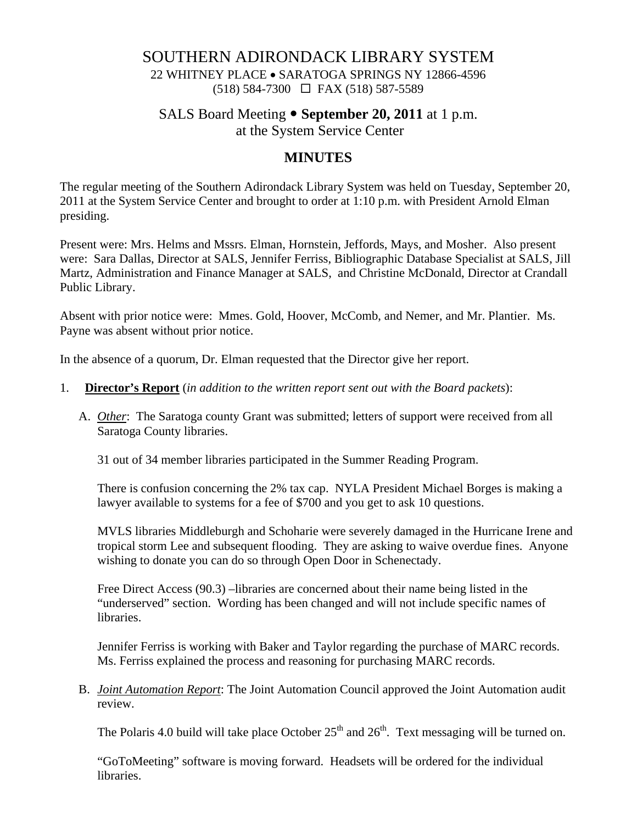# SOUTHERN ADIRONDACK LIBRARY SYSTEM

22 WHITNEY PLACE • SARATOGA SPRINGS NY 12866-4596 (518) 584-7300 FAX (518) 587-5589

# SALS Board Meeting • September 20, 2011 at 1 p.m.

at the System Service Center

# **MINUTES**

The regular meeting of the Southern Adirondack Library System was held on Tuesday, September 20, 2011 at the System Service Center and brought to order at 1:10 p.m. with President Arnold Elman presiding.

Present were: Mrs. Helms and Mssrs. Elman, Hornstein, Jeffords, Mays, and Mosher. Also present were: Sara Dallas, Director at SALS, Jennifer Ferriss, Bibliographic Database Specialist at SALS, Jill Martz, Administration and Finance Manager at SALS, and Christine McDonald, Director at Crandall Public Library.

Absent with prior notice were: Mmes. Gold, Hoover, McComb, and Nemer, and Mr. Plantier. Ms. Payne was absent without prior notice.

In the absence of a quorum, Dr. Elman requested that the Director give her report.

- 1. **Director's Report** (*in addition to the written report sent out with the Board packets*):
	- A. *Other*: The Saratoga county Grant was submitted; letters of support were received from all Saratoga County libraries.

31 out of 34 member libraries participated in the Summer Reading Program.

There is confusion concerning the 2% tax cap. NYLA President Michael Borges is making a lawyer available to systems for a fee of \$700 and you get to ask 10 questions.

MVLS libraries Middleburgh and Schoharie were severely damaged in the Hurricane Irene and tropical storm Lee and subsequent flooding. They are asking to waive overdue fines. Anyone wishing to donate you can do so through Open Door in Schenectady.

Free Direct Access (90.3) –libraries are concerned about their name being listed in the "underserved" section. Wording has been changed and will not include specific names of libraries.

Jennifer Ferriss is working with Baker and Taylor regarding the purchase of MARC records. Ms. Ferriss explained the process and reasoning for purchasing MARC records.

B. *Joint Automation Report*: The Joint Automation Council approved the Joint Automation audit review.

The Polaris 4.0 build will take place October  $25<sup>th</sup>$  and  $26<sup>th</sup>$ . Text messaging will be turned on.

"GoToMeeting" software is moving forward. Headsets will be ordered for the individual libraries.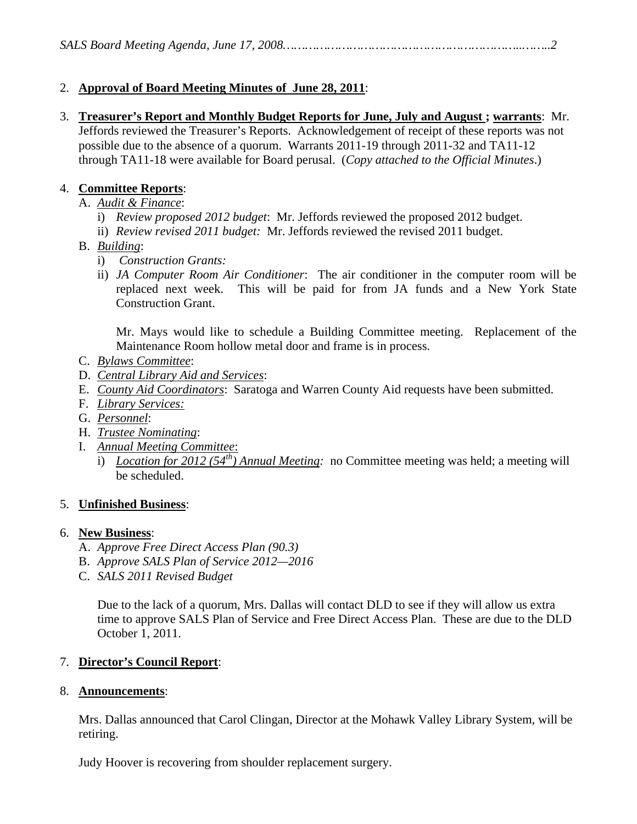## 2. **Approval of Board Meeting Minutes of June 28, 2011**:

3. **Treasurer's Report and Monthly Budget Reports for June, July and August ; warrants**: Mr. Jeffords reviewed the Treasurer's Reports. Acknowledgement of receipt of these reports was not possible due to the absence of a quorum. Warrants 2011-19 through 2011-32 and TA11-12 through TA11-18 were available for Board perusal. (*Copy attached to the Official Minutes*.)

## 4. **Committee Reports**:

- A. *Audit & Finance*:
	- i) *Review proposed 2012 budget*: Mr. Jeffords reviewed the proposed 2012 budget.
	- ii) *Review revised 2011 budget:* Mr. Jeffords reviewed the revised 2011 budget.
- B. *Building*:
	- i) *Construction Grants:*
	- ii) *JA Computer Room Air Conditioner*: The air conditioner in the computer room will be replaced next week. This will be paid for from JA funds and a New York State Construction Grant.

Mr. Mays would like to schedule a Building Committee meeting. Replacement of the Maintenance Room hollow metal door and frame is in process.

- C. *Bylaws Committee*:
- D. *Central Library Aid and Services*:
- E. *County Aid Coordinators*: Saratoga and Warren County Aid requests have been submitted.
- F. *Library Services:*
- G. *Personnel*:
- H. *Trustee Nominating*:
- I. *Annual Meeting Committee*:
	- i) *Location for 2012 (54th) Annual Meeting:* no Committee meeting was held; a meeting will be scheduled.

### 5. **Unfinished Business**:

### 6. **New Business**:

- A. *Approve Free Direct Access Plan (90.3)*
- B. *Approve SALS Plan of Service 2012—2016*
- C. *SALS 2011 Revised Budget*

Due to the lack of a quorum, Mrs. Dallas will contact DLD to see if they will allow us extra time to approve SALS Plan of Service and Free Direct Access Plan. These are due to the DLD October 1, 2011.

## 7. **Director's Council Report**:

### 8. **Announcements**:

Mrs. Dallas announced that Carol Clingan, Director at the Mohawk Valley Library System, will be retiring.

Judy Hoover is recovering from shoulder replacement surgery.